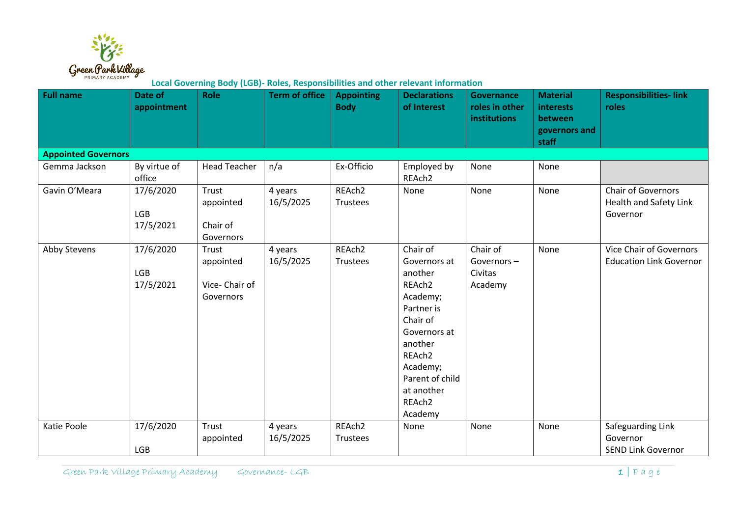

**Local Governing Body (LGB)- Roles, Responsibilities and other relevant information**

| <b>Full name</b>           | Date of<br>appointment               | <b>Role</b>                                      | <b>Term of office</b> | <b>Appointing</b><br><b>Body</b> | <b>Declarations</b><br>of Interest                                                                                                                                                                     | <b>Governance</b><br>roles in other<br><b>institutions</b> | <b>Material</b><br>interests<br>between<br>governors and<br>staff | <b>Responsibilities-link</b><br>roles                           |  |  |  |  |  |
|----------------------------|--------------------------------------|--------------------------------------------------|-----------------------|----------------------------------|--------------------------------------------------------------------------------------------------------------------------------------------------------------------------------------------------------|------------------------------------------------------------|-------------------------------------------------------------------|-----------------------------------------------------------------|--|--|--|--|--|
| <b>Appointed Governors</b> |                                      |                                                  |                       |                                  |                                                                                                                                                                                                        |                                                            |                                                                   |                                                                 |  |  |  |  |  |
| Gemma Jackson              | By virtue of<br>office               | <b>Head Teacher</b>                              | n/a                   | Ex-Officio                       | Employed by<br>REAch2                                                                                                                                                                                  | None                                                       | None                                                              |                                                                 |  |  |  |  |  |
| Gavin O'Meara              | 17/6/2020<br><b>LGB</b><br>17/5/2021 | Trust<br>appointed<br>Chair of<br>Governors      | 4 years<br>16/5/2025  | REAch <sub>2</sub><br>Trustees   | None                                                                                                                                                                                                   | None                                                       | None                                                              | <b>Chair of Governors</b><br>Health and Safety Link<br>Governor |  |  |  |  |  |
| Abby Stevens               | 17/6/2020<br><b>LGB</b><br>17/5/2021 | Trust<br>appointed<br>Vice-Chair of<br>Governors | 4 years<br>16/5/2025  | REAch2<br>Trustees               | Chair of<br>Governors at<br>another<br>REAch2<br>Academy;<br>Partner is<br>Chair of<br>Governors at<br>another<br>REAch <sub>2</sub><br>Academy;<br>Parent of child<br>at another<br>REAch2<br>Academy | Chair of<br>Governors-<br>Civitas<br>Academy               | None                                                              | Vice Chair of Governors<br><b>Education Link Governor</b>       |  |  |  |  |  |
| Katie Poole                | 17/6/2020<br>LGB                     | Trust<br>appointed                               | 4 years<br>16/5/2025  | REAch2<br>Trustees               | None                                                                                                                                                                                                   | None                                                       | None                                                              | Safeguarding Link<br>Governor<br><b>SEND Link Governor</b>      |  |  |  |  |  |